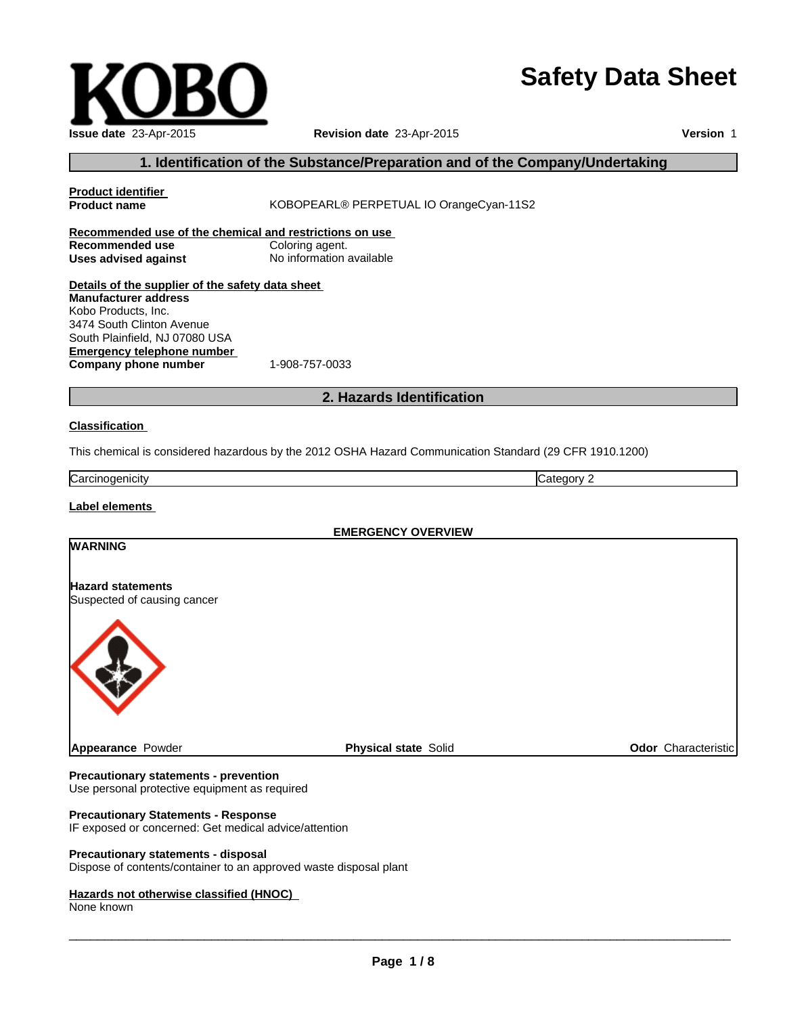# **Safety Data Sheet**

**Page 1 / 8**

 $\_$  , and the set of the set of the set of the set of the set of the set of the set of the set of the set of the set of the set of the set of the set of the set of the set of the set of the set of the set of the set of th

# **1. Identification of the Substance/Preparation and of the Company/Undertaking**

| <b>Product identifier</b><br><b>Product name</b>                                                                                                                      | KOBOPEARL® PERPETUAL IO OrangeCyan-11S2                                                                 |  |
|-----------------------------------------------------------------------------------------------------------------------------------------------------------------------|---------------------------------------------------------------------------------------------------------|--|
| Recommended use of the chemical and restrictions on use<br>Recommended use<br><b>Uses advised against</b>                                                             | Coloring agent.<br>No information available                                                             |  |
| Details of the supplier of the safety data sheet<br><b>Manufacturer address</b><br>Kobo Products, Inc.<br>3474 South Clinton Avenue<br>South Plainfield, NJ 07080 USA |                                                                                                         |  |
| <b>Emergency telephone number</b><br>Company phone number                                                                                                             | 1-908-757-0033                                                                                          |  |
| 2. Hazards Identification                                                                                                                                             |                                                                                                         |  |
| <b>Classification</b>                                                                                                                                                 |                                                                                                         |  |
|                                                                                                                                                                       | This chemical is considered hazardous by the 2012 OSHA Hazard Communication Standard (29 CFR 1910.1200) |  |
| Carcinogenicity                                                                                                                                                       | Category 2                                                                                              |  |
| <b>Label elements</b>                                                                                                                                                 |                                                                                                         |  |
|                                                                                                                                                                       | <b>EMERGENCY OVERVIEW</b>                                                                               |  |
| <b>WARNING</b>                                                                                                                                                        |                                                                                                         |  |

**Revision date** 23-Apr-2015

**Hazard statements** Suspected of causing cancer

**Appearance** Powder **Physical state** Solid **Physical state** Solid **Physical Solid Physical state** Solid

#### **Precautionary statements - prevention**

Use personal protective equipment as required

#### **Precautionary Statements - Response**

IF exposed or concerned: Get medical advice/attention

#### **Precautionary statements - disposal**

Dispose of contents/container to an approved waste disposal plant

#### **Hazards not otherwise classified (HNOC)**

None known



**Version** 1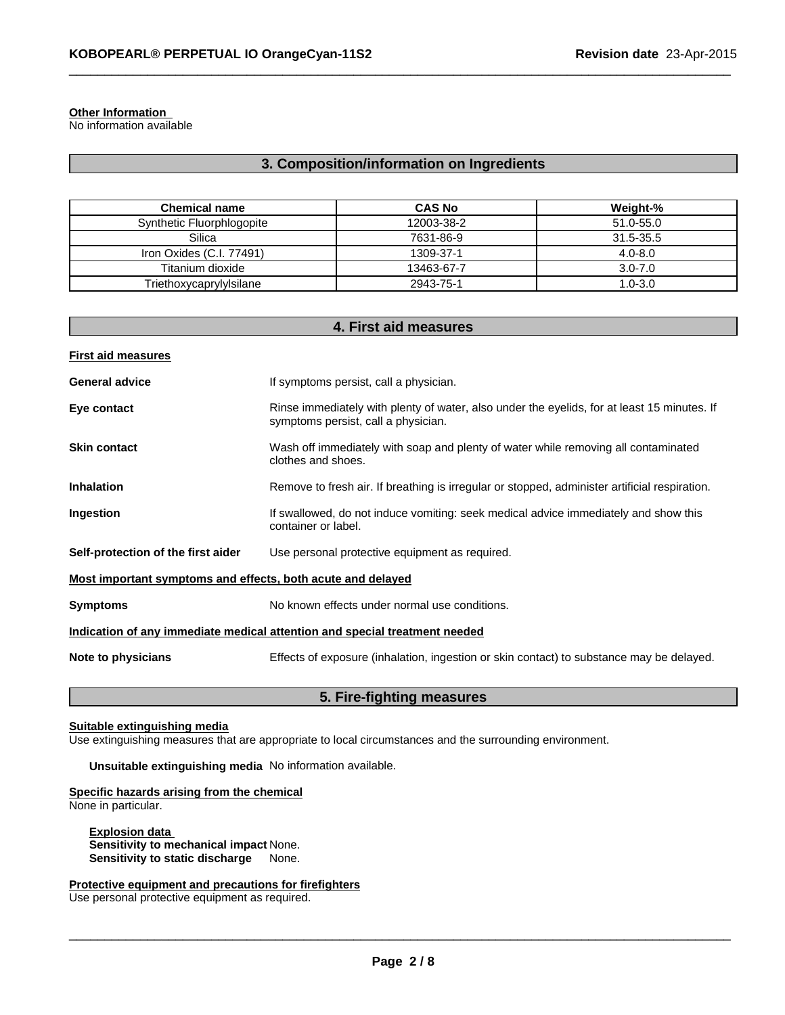#### **Other Information**

No information available

# **3. Composition/information on Ingredients**

 $\_$  , and the set of the set of the set of the set of the set of the set of the set of the set of the set of the set of the set of the set of the set of the set of the set of the set of the set of the set of the set of th

| <b>Chemical name</b>      | <b>CAS No</b> | Weight-%    |
|---------------------------|---------------|-------------|
| Synthetic Fluorphlogopite | 12003-38-2    | 51.0-55.0   |
| Silica                    | 7631-86-9     | 31.5-35.5   |
| Iron Oxides (C.I. 77491)  | 1309-37-1     | $4.0 - 8.0$ |
| Titanium dioxide          | 13463-67-7    | $3.0 - 7.0$ |
| Triethoxycaprylylsilane   | 2943-75-1     | $1.0 - 3.0$ |

| 4. First aid measures                                                      |                                                                                                                                    |  |  |
|----------------------------------------------------------------------------|------------------------------------------------------------------------------------------------------------------------------------|--|--|
| <b>First aid measures</b>                                                  |                                                                                                                                    |  |  |
| <b>General advice</b>                                                      | If symptoms persist, call a physician.                                                                                             |  |  |
| Eye contact                                                                | Rinse immediately with plenty of water, also under the eyelids, for at least 15 minutes. If<br>symptoms persist, call a physician. |  |  |
| <b>Skin contact</b>                                                        | Wash off immediately with soap and plenty of water while removing all contaminated<br>clothes and shoes.                           |  |  |
| <b>Inhalation</b>                                                          | Remove to fresh air. If breathing is irregular or stopped, administer artificial respiration.                                      |  |  |
| Ingestion                                                                  | If swallowed, do not induce vomiting: seek medical advice immediately and show this<br>container or label.                         |  |  |
| Self-protection of the first aider                                         | Use personal protective equipment as required.                                                                                     |  |  |
| Most important symptoms and effects, both acute and delayed                |                                                                                                                                    |  |  |
| <b>Symptoms</b>                                                            | No known effects under normal use conditions.                                                                                      |  |  |
| Indication of any immediate medical attention and special treatment needed |                                                                                                                                    |  |  |
| Note to physicians                                                         | Effects of exposure (inhalation, ingestion or skin contact) to substance may be delayed.                                           |  |  |

### **5. Fire-fighting measures**

#### **Suitable extinguishing media**

Use extinguishing measures that are appropriate to local circumstances and the surrounding environment.

**Unsuitable extinguishing media** No information available.

#### **Specific hazards arising from the chemical** None in particular.

**Explosion data Sensitivity to mechanical impact** None. **Sensitivity to static discharge** None.

#### **Protective equipment and precautions for firefighters**

Use personal protective equipment as required.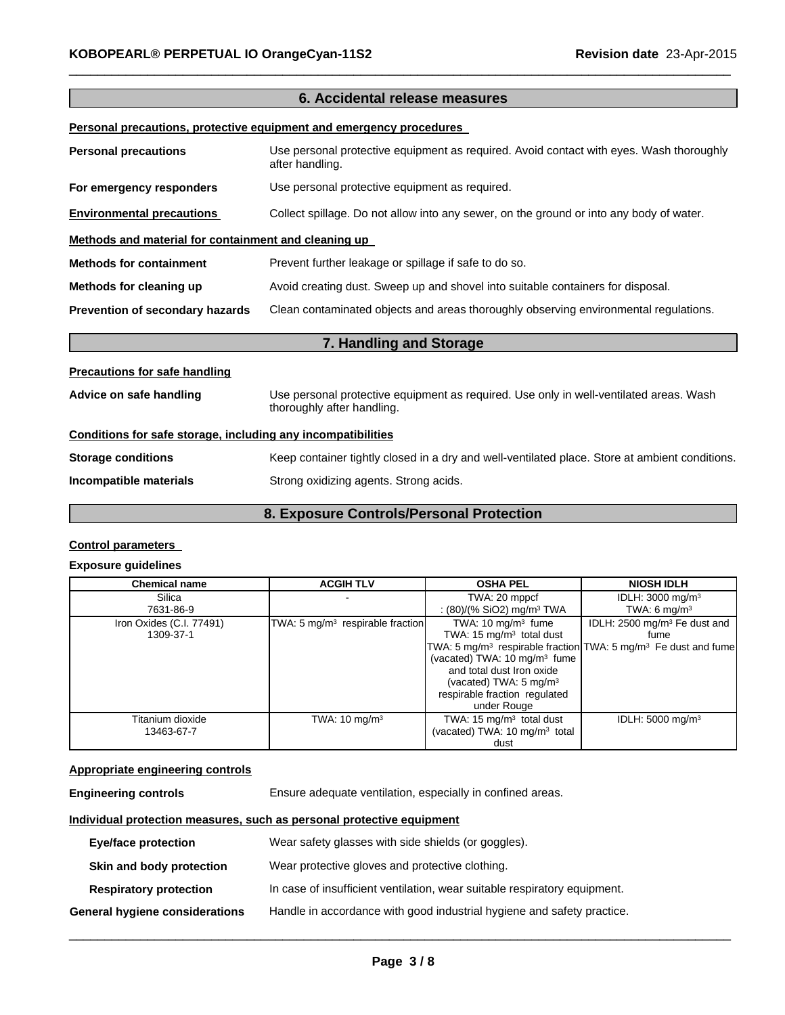| 6. Accidental release measures                                             |                                                                                                            |  |  |
|----------------------------------------------------------------------------|------------------------------------------------------------------------------------------------------------|--|--|
| <u>Personal precautions, protective equipment and emergency procedures</u> |                                                                                                            |  |  |
| <b>Personal precautions</b>                                                | Use personal protective equipment as required. Avoid contact with eyes. Wash thoroughly<br>after handling. |  |  |
| For emergency responders                                                   | Use personal protective equipment as required.                                                             |  |  |
| <b>Environmental precautions</b>                                           | Collect spillage. Do not allow into any sewer, on the ground or into any body of water.                    |  |  |
| Methods and material for containment and cleaning up                       |                                                                                                            |  |  |
| <b>Methods for containment</b>                                             | Prevent further leakage or spillage if safe to do so.                                                      |  |  |
| Methods for cleaning up                                                    | Avoid creating dust. Sweep up and shovel into suitable containers for disposal.                            |  |  |
| Prevention of secondary hazards                                            | Clean contaminated objects and areas thoroughly observing environmental regulations.                       |  |  |
| 7. Handling and Storage                                                    |                                                                                                            |  |  |
| <b>Precautions for safe handling</b>                                       |                                                                                                            |  |  |
| Advice on safe handling                                                    | Use personal protective equipment as required. Use only in well-ventilated areas. Wash                     |  |  |

 $\_$  , and the set of the set of the set of the set of the set of the set of the set of the set of the set of the set of the set of the set of the set of the set of the set of the set of the set of the set of the set of th

# thoroughly after handling. **Conditions for safe storage, including any incompatibilities Storage conditions** Keep container tightly closed in a dry and well-ventilated place. Store at ambient conditions. **Incompatible materials** Strong oxidizing agents. Strong acids.

#### **8. Exposure Controls/Personal Protection**

#### **Control parameters**

#### **Exposure guidelines**

| <b>Chemical name</b>     | <b>ACGIH TLV</b>                   | <b>OSHA PEL</b>                           | <b>NIOSH IDLH</b>                                                                      |
|--------------------------|------------------------------------|-------------------------------------------|----------------------------------------------------------------------------------------|
| Silica                   |                                    | TWA: 20 mppcf                             | IDLH: 3000 mg/m <sup>3</sup>                                                           |
| 7631-86-9                |                                    | : $(80)/(%$ SiO2) mg/m <sup>3</sup> TWA   | TWA: 6 $mq/m3$                                                                         |
| Iron Oxides (C.I. 77491) | TWA: 5 $mg/m3$ respirable fraction | TWA: $10 \text{ mg/m}^3$ fume             | IDLH: 2500 mg/m <sup>3</sup> Fe dust and                                               |
| 1309-37-1                |                                    | TWA: 15 $mg/m3$ total dust                | fume                                                                                   |
|                          |                                    |                                           | TWA: 5 mg/m <sup>3</sup> respirable fraction TWA: 5 mg/m <sup>3</sup> Fe dust and fume |
|                          |                                    | (vacated) TWA: 10 mg/m <sup>3</sup> fume  |                                                                                        |
|                          |                                    | and total dust Iron oxide                 |                                                                                        |
|                          |                                    | (vacated) TWA: $5 \text{ mg/m}^3$         |                                                                                        |
|                          |                                    | respirable fraction regulated             |                                                                                        |
|                          |                                    | under Rouge                               |                                                                                        |
| Titanium dioxide         | TWA: $10 \text{ mg/m}^3$           | TWA: 15 $mg/m3$ total dust                | IDLH: $5000 \text{ mg/m}^3$                                                            |
| 13463-67-7               |                                    | (vacated) TWA: 10 mg/m <sup>3</sup> total |                                                                                        |
|                          |                                    | dust                                      |                                                                                        |

#### **Appropriate engineering controls**

**Engineering controls** Ensure adequate ventilation, especially in confined areas.

#### **Individual protection measures, such as personal protective equipment**

| Eye/face protection            | Wear safety glasses with side shields (or goggles).                       |
|--------------------------------|---------------------------------------------------------------------------|
| Skin and body protection       | Wear protective gloves and protective clothing.                           |
| <b>Respiratory protection</b>  | In case of insufficient ventilation, wear suitable respiratory equipment. |
| General hygiene considerations | Handle in accordance with good industrial hygiene and safety practice.    |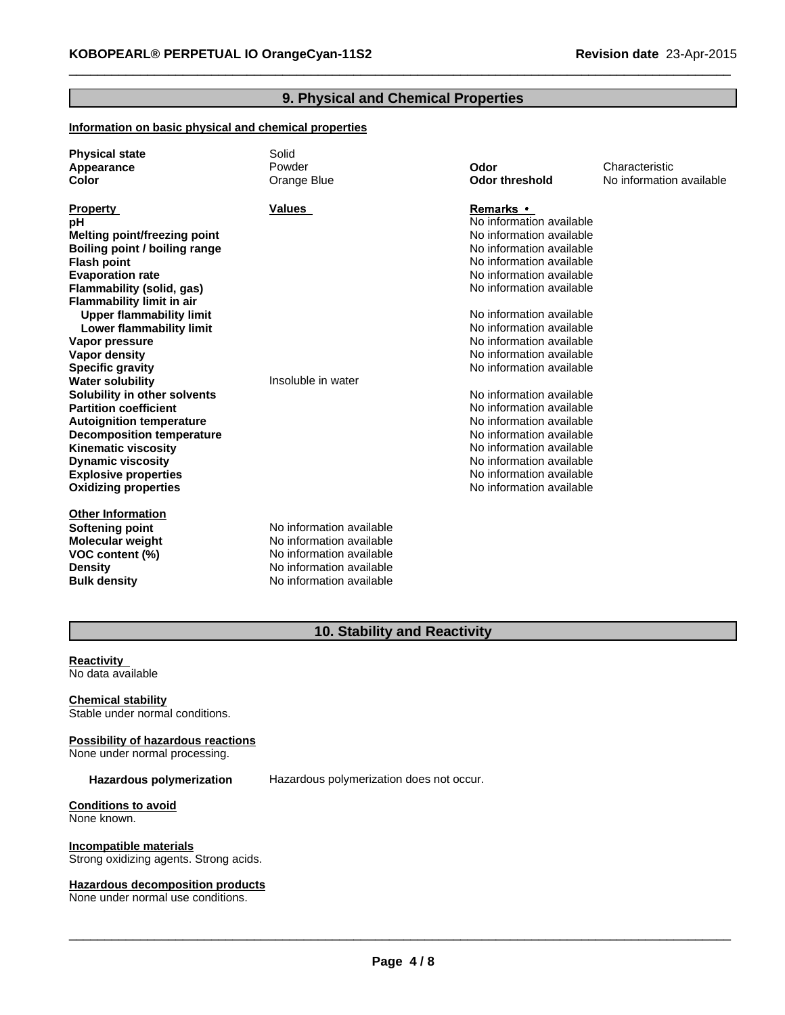#### **9. Physical and Chemical Properties**

 $\_$  , and the set of the set of the set of the set of the set of the set of the set of the set of the set of the set of the set of the set of the set of the set of the set of the set of the set of the set of the set of th

#### **Information on basic physical and chemical properties**

| <b>Physical state</b><br>Appearance<br>Color | Solid<br>Powder<br>Orange Blue | Odor<br><b>Odor threshold</b> | Characteristic<br>No information available |
|----------------------------------------------|--------------------------------|-------------------------------|--------------------------------------------|
| <b>Property</b>                              | <b>Values</b>                  | <b>Remarks</b> •              |                                            |
| рH                                           |                                | No information available      |                                            |
| <b>Melting point/freezing point</b>          |                                | No information available      |                                            |
| Boiling point / boiling range                |                                | No information available      |                                            |
| <b>Flash point</b>                           |                                | No information available      |                                            |
| <b>Evaporation rate</b>                      |                                | No information available      |                                            |
| Flammability (solid, gas)                    |                                | No information available      |                                            |
| <b>Flammability limit in air</b>             |                                |                               |                                            |
| <b>Upper flammability limit</b>              |                                | No information available      |                                            |
| Lower flammability limit                     |                                | No information available      |                                            |
| Vapor pressure                               |                                | No information available      |                                            |
| <b>Vapor density</b>                         |                                | No information available      |                                            |
| <b>Specific gravity</b>                      |                                | No information available      |                                            |
| <b>Water solubility</b>                      | Insoluble in water             |                               |                                            |
| Solubility in other solvents                 |                                | No information available      |                                            |
| <b>Partition coefficient</b>                 |                                | No information available      |                                            |
| <b>Autoignition temperature</b>              |                                | No information available      |                                            |
| <b>Decomposition temperature</b>             |                                | No information available      |                                            |
| <b>Kinematic viscosity</b>                   |                                | No information available      |                                            |
| <b>Dynamic viscosity</b>                     |                                | No information available      |                                            |
| <b>Explosive properties</b>                  |                                | No information available      |                                            |
| <b>Oxidizing properties</b>                  |                                | No information available      |                                            |
| <b>Other Information</b>                     |                                |                               |                                            |
| Softening point                              | No information available       |                               |                                            |
| <b>Molecular weight</b>                      | No information available       |                               |                                            |
| VOC content (%)                              | No information available       |                               |                                            |
| <b>Density</b>                               | No information available       |                               |                                            |
| <b>Bulk density</b>                          | No information available       |                               |                                            |

# **10. Stability and Reactivity**

**Reactivity** No data available

**Chemical stability** Stable under normal conditions.

**Possibility of hazardous reactions** None under normal processing.

**Hazardous polymerization** Hazardous polymerization does not occur.

**Conditions to avoid** None known.

**Incompatible materials** Strong oxidizing agents. Strong acids.

#### **Hazardous decomposition products**

None under normal use conditions.

 $\_$  ,  $\_$  ,  $\_$  ,  $\_$  ,  $\_$  ,  $\_$  ,  $\_$  ,  $\_$  ,  $\_$  ,  $\_$  ,  $\_$  ,  $\_$  ,  $\_$  ,  $\_$  ,  $\_$  ,  $\_$  ,  $\_$  ,  $\_$  ,  $\_$  ,  $\_$  ,  $\_$  ,  $\_$  ,  $\_$  ,  $\_$  ,  $\_$  ,  $\_$  ,  $\_$  ,  $\_$  ,  $\_$  ,  $\_$  ,  $\_$  ,  $\_$  ,  $\_$  ,  $\_$  ,  $\_$  ,  $\_$  ,  $\_$  ,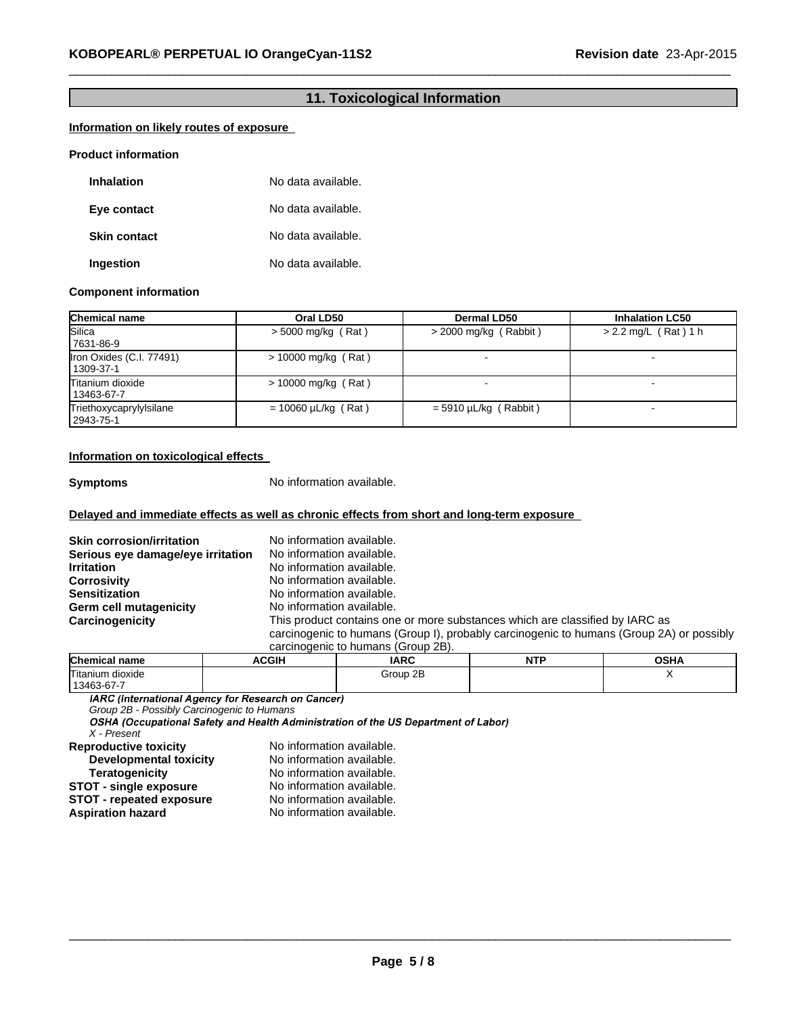### **11. Toxicological Information**

 $\_$  , and the set of the set of the set of the set of the set of the set of the set of the set of the set of the set of the set of the set of the set of the set of the set of the set of the set of the set of the set of th

#### **Information on likely routes of exposure**

#### **Product information**

| <b>Inhalation</b>   | No data available. |
|---------------------|--------------------|
| Eye contact         | No data available. |
| <b>Skin contact</b> | No data available. |
| Ingestion           | No data available. |

#### **Component information**

| <b>Chemical name</b>                  | Oral LD50                | <b>Dermal LD50</b>      | <b>Inhalation LC50</b> |
|---------------------------------------|--------------------------|-------------------------|------------------------|
| Silica<br>7631-86-9                   | $>$ 5000 mg/kg (Rat)     | $>$ 2000 mg/kg (Rabbit) | $> 2.2$ mg/L (Rat) 1 h |
| Iron Oxides (C.I. 77491)<br>1309-37-1 | $> 10000$ mg/kg (Rat)    |                         |                        |
| Titanium dioxide<br>13463-67-7        | $> 10000$ mg/kg (Rat)    |                         | -                      |
| Triethoxycaprylylsilane<br>2943-75-1  | $= 10060 \mu L/kg$ (Rat) | $=$ 5910 µL/kg (Rabbit) | $\blacksquare$         |

#### **Information on toxicological effects**

**Symptoms** No information available.

#### **Delayed and immediate effects as well as chronic effects from short and long-term exposure**

| <b>Skin corrosion/irritation</b>  | No information available.                                                                |
|-----------------------------------|------------------------------------------------------------------------------------------|
| Serious eye damage/eye irritation | No information available.                                                                |
| <b>Irritation</b>                 | No information available.                                                                |
| <b>Corrosivity</b>                | No information available.                                                                |
| <b>Sensitization</b>              | No information available.                                                                |
| Germ cell mutagenicity            | No information available.                                                                |
| Carcinogenicity                   | This product contains one or more substances which are classified by IARC as             |
|                                   | carcinogenic to humans (Group I), probably carcinogenic to humans (Group 2A) or possibly |
|                                   | carcinogenic to humans (Group 2B).                                                       |

| <b>Chemical name</b>           | <b>ACGIH</b> | <b>IARC</b> | <b>NTD</b><br>. . | OSHA |
|--------------------------------|--------------|-------------|-------------------|------|
| Titanium dioxide<br>13463-67-7 |              | Group 2B    |                   |      |

*Group 2B - Possibly Carcinogenic to Humans*

*X - Present* No information available.<br>No information available.

| <b>Developmental toxicity</b>   | No information available. |
|---------------------------------|---------------------------|
| <b>Teratogenicity</b>           | No information available. |
| <b>STOT - single exposure</b>   | No information available. |
| <b>STOT - repeated exposure</b> | No information available. |
| <b>Aspiration hazard</b>        | No information available. |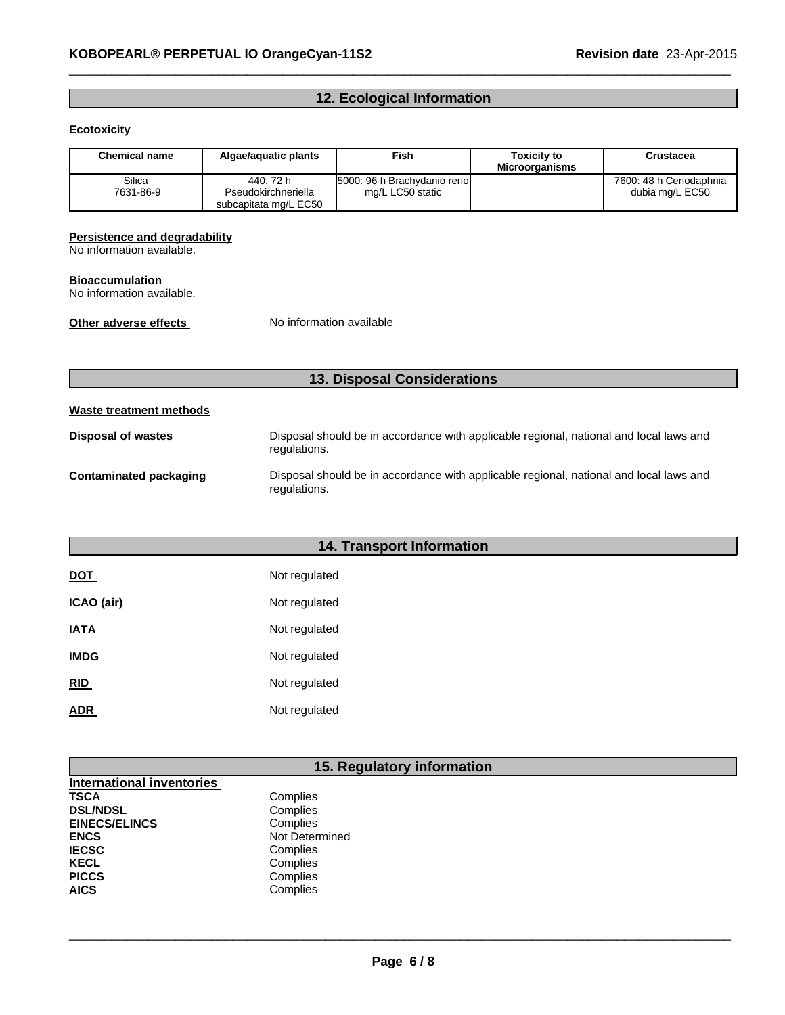# **12. Ecological Information**

 $\_$  , and the set of the set of the set of the set of the set of the set of the set of the set of the set of the set of the set of the set of the set of the set of the set of the set of the set of the set of the set of th

#### **Ecotoxicity**

| <b>Chemical name</b> | Algae/aguatic plants                                      | <b>Fish</b>                                      | <b>Toxicity to</b><br><b>Microorganisms</b> | Crustacea                                  |
|----------------------|-----------------------------------------------------------|--------------------------------------------------|---------------------------------------------|--------------------------------------------|
| Silica<br>7631-86-9  | 440: 72 h<br>Pseudokirchneriella<br>subcapitata mg/L EC50 | 5000: 96 h Brachydanio rerio<br>mg/L LC50 static |                                             | 7600: 48 h Ceriodaphnia<br>dubia mg/L EC50 |

#### **Persistence and degradability**

No information available.

#### **Bioaccumulation**

No information available.

**Other adverse effects** No information available

# **13. Disposal Considerations**

### **Waste treatment methods**

| <b>Disposal of wastes</b> | Disposal should be in accordance with applicable regional, national and local laws and<br>regulations. |
|---------------------------|--------------------------------------------------------------------------------------------------------|
| Contaminated packaging    | Disposal should be in accordance with applicable regional, national and local laws and<br>regulations. |

# **14. Transport Information**

| <b>DOT</b>  | Not regulated |
|-------------|---------------|
| ICAO (air)  | Not regulated |
| <b>IATA</b> | Not regulated |
| <b>IMDG</b> | Not regulated |
| <b>RID</b>  | Not regulated |
| ADR         | Not regulated |

# **15. Regulatory information**

| <b>International inventories</b> |                |
|----------------------------------|----------------|
| TSCA                             | Complies       |
| <b>DSL/NDSL</b>                  | Complies       |
| <b>EINECS/ELINCS</b>             | Complies       |
| <b>ENCS</b>                      | Not Determined |
| IECSC                            | Complies       |
| KECL                             | Complies       |
| <b>PICCS</b>                     | Complies       |
| AICS                             | Complies       |

 $\_$  ,  $\_$  ,  $\_$  ,  $\_$  ,  $\_$  ,  $\_$  ,  $\_$  ,  $\_$  ,  $\_$  ,  $\_$  ,  $\_$  ,  $\_$  ,  $\_$  ,  $\_$  ,  $\_$  ,  $\_$  ,  $\_$  ,  $\_$  ,  $\_$  ,  $\_$  ,  $\_$  ,  $\_$  ,  $\_$  ,  $\_$  ,  $\_$  ,  $\_$  ,  $\_$  ,  $\_$  ,  $\_$  ,  $\_$  ,  $\_$  ,  $\_$  ,  $\_$  ,  $\_$  ,  $\_$  ,  $\_$  ,  $\_$  ,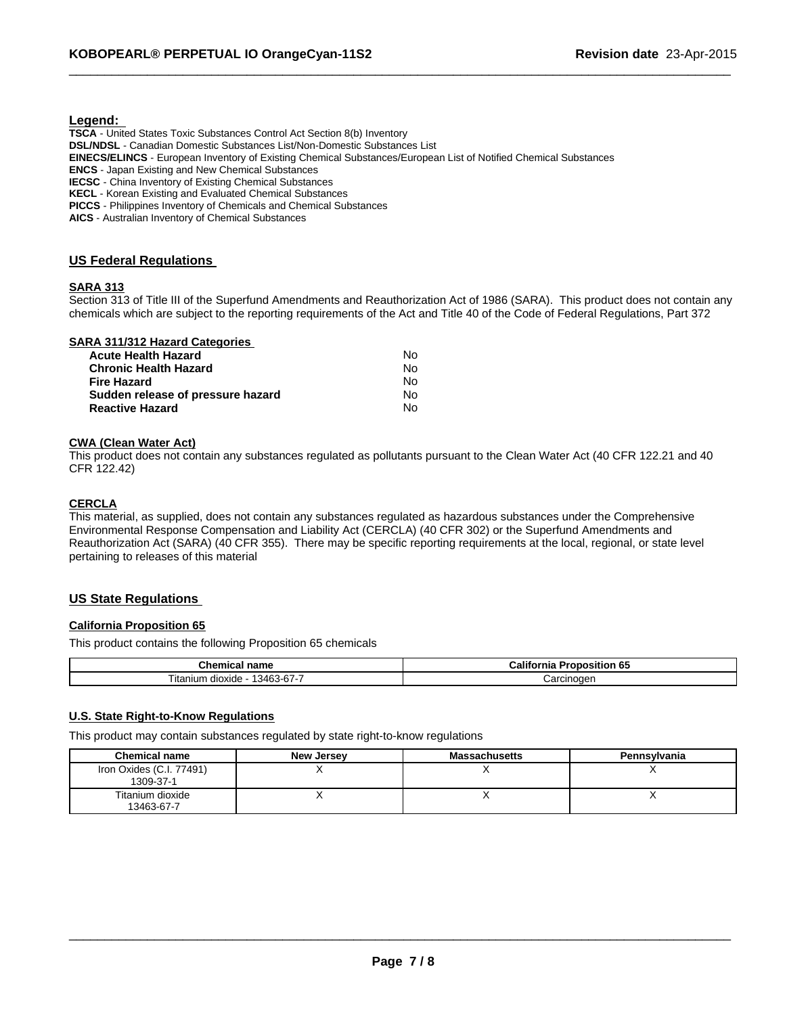#### **Legend:**

**TSCA** - United States Toxic Substances Control Act Section 8(b) Inventory **DSL/NDSL** - Canadian Domestic Substances List/Non-Domestic Substances List **EINECS/ELINCS** - European Inventory of Existing Chemical Substances/European List of Notified Chemical Substances **ENCS** - Japan Existing and New Chemical Substances **IECSC** - China Inventory of Existing Chemical Substances **KECL** - Korean Existing and Evaluated Chemical Substances **PICCS** - Philippines Inventory of Chemicals and Chemical Substances

**AICS** - Australian Inventory of Chemical Substances

#### **US Federal Regulations**

#### **SARA 313**

Section 313 of Title III of the Superfund Amendments and Reauthorization Act of 1986 (SARA). This product does not contain any chemicals which are subject to the reporting requirements of the Act and Title 40 of the Code of Federal Regulations, Part 372

 $\_$  , and the set of the set of the set of the set of the set of the set of the set of the set of the set of the set of the set of the set of the set of the set of the set of the set of the set of the set of the set of th

|  | <b>SARA 311/312 Hazard Categories</b> |
|--|---------------------------------------|
|  |                                       |

| Acute Health Hazard               | N٥ |
|-----------------------------------|----|
| Chronic Health Hazard             | N٥ |
| Fire Hazard                       | N٥ |
| Sudden release of pressure hazard | N٥ |
| <b>Reactive Hazard</b>            | N٥ |

#### **CWA (Clean Water Act)**

This product does not contain any substances regulated as pollutants pursuant to the Clean Water Act (40 CFR 122.21 and 40 CFR 122.42)

#### **CERCLA**

This material, as supplied, does not contain any substances regulated as hazardous substances under the Comprehensive Environmental Response Compensation and Liability Act (CERCLA) (40 CFR 302) or the Superfund Amendments and Reauthorization Act (SARA) (40 CFR 355). There may be specific reporting requirements at the local, regional, or state level pertaining to releases of this material

#### **US State Regulations**

#### **California Proposition 65**

This product contains the following Proposition 65 chemicals

| <b>nemical</b><br>name                                         | 65<br>Califor<br>rnia<br>:oposition |
|----------------------------------------------------------------|-------------------------------------|
| $3 - 67 - 7$<br>. 134 <sup>ເ</sup> ົ<br>⊺ıtanıum<br>olloxide ' | Carcinoden                          |

#### **U.S. State Right-to-Know Regulations**

This product may contain substances regulated by state right-to-know regulations

| <b>Chemical name</b>                  | <b>New Jersey</b> | <b>Massachusetts</b> | <b>Pennsylvania</b> |
|---------------------------------------|-------------------|----------------------|---------------------|
| Iron Oxides (C.I. 77491)<br>1309-37-1 |                   |                      |                     |
| Titanium dioxide<br>13463-67-7        |                   |                      |                     |